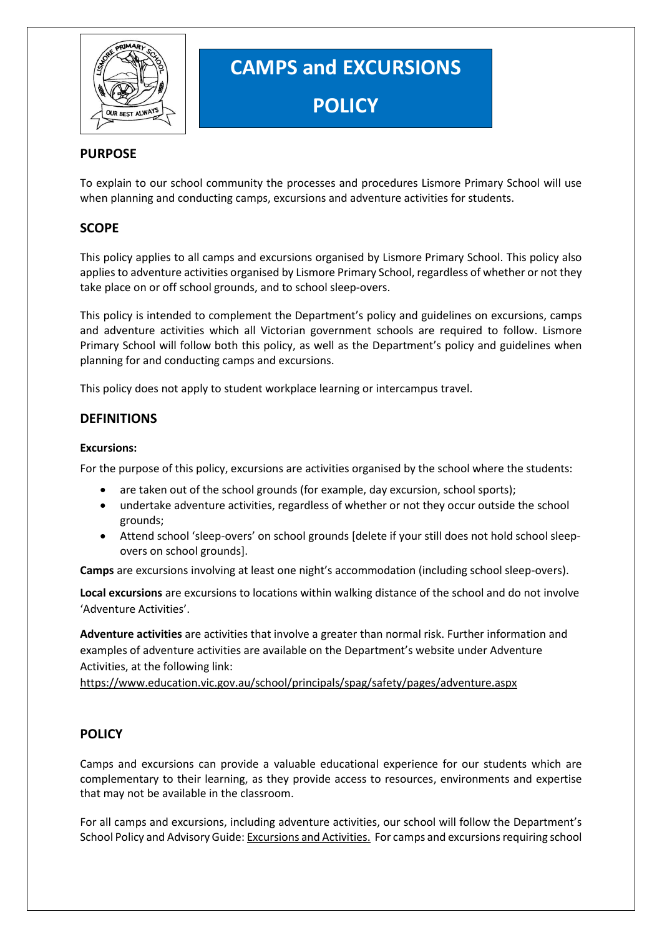

# **CAMPS and EXCURSIONS POLICY**

# **PURPOSE**

To explain to our school community the processes and procedures Lismore Primary School will use when planning and conducting camps, excursions and adventure activities for students.

# **SCOPE**

This policy applies to all camps and excursions organised by Lismore Primary School. This policy also applies to adventure activities organised by Lismore Primary School, regardless of whether or not they take place on or off school grounds, and to school sleep-overs.

This policy is intended to complement the Department's policy and guidelines on excursions, camps and adventure activities which all Victorian government schools are required to follow. Lismore Primary School will follow both this policy, as well as the Department's policy and guidelines when planning for and conducting camps and excursions.

This policy does not apply to student workplace learning or intercampus travel.

# **DEFINITIONS**

## **Excursions:**

For the purpose of this policy, excursions are activities organised by the school where the students:

- are taken out of the school grounds (for example, day excursion, school sports);
- undertake adventure activities, regardless of whether or not they occur outside the school grounds;
- Attend school 'sleep-overs' on school grounds [delete if your still does not hold school sleepovers on school grounds].

**Camps** are excursions involving at least one night's accommodation (including school sleep-overs).

**Local excursions** are excursions to locations within walking distance of the school and do not involve 'Adventure Activities'.

**Adventure activities** are activities that involve a greater than normal risk. Further information and examples of adventure activities are available on the Department's website under Adventure Activities, at the following link:

<https://www.education.vic.gov.au/school/principals/spag/safety/pages/adventure.aspx>

# **POLICY**

Camps and excursions can provide a valuable educational experience for our students which are complementary to their learning, as they provide access to resources, environments and expertise that may not be available in the classroom.

For all camps and excursions, including adventure activities, our school will follow the Department's School Policy and Advisory Guide[: Excursions and Activities.](http://www.education.vic.gov.au/school/principals/spag/safety/pages/excursions.aspx) For camps and excursions requiring school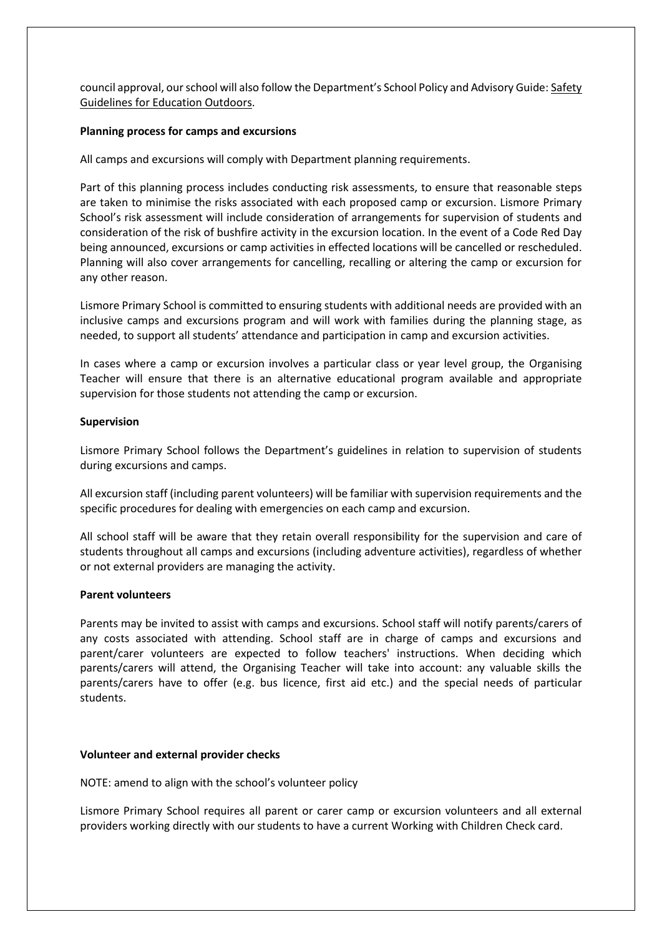council approval, our school will also follow the Department's School Policy and Advisory Guide: [Safety](https://www.education.vic.gov.au/school/teachers/studentmanagement/excursions/Pages/outdoorguidelines.aspx)  [Guidelines for Education Outdoors.](https://www.education.vic.gov.au/school/teachers/studentmanagement/excursions/Pages/outdoorguidelines.aspx)

#### **Planning process for camps and excursions**

All camps and excursions will comply with Department planning requirements.

Part of this planning process includes conducting risk assessments, to ensure that reasonable steps are taken to minimise the risks associated with each proposed camp or excursion. Lismore Primary School's risk assessment will include consideration of arrangements for supervision of students and consideration of the risk of bushfire activity in the excursion location. In the event of a Code Red Day being announced, excursions or camp activities in effected locations will be cancelled or rescheduled. Planning will also cover arrangements for cancelling, recalling or altering the camp or excursion for any other reason.

Lismore Primary School is committed to ensuring students with additional needs are provided with an inclusive camps and excursions program and will work with families during the planning stage, as needed, to support all students' attendance and participation in camp and excursion activities.

In cases where a camp or excursion involves a particular class or year level group, the Organising Teacher will ensure that there is an alternative educational program available and appropriate supervision for those students not attending the camp or excursion.

#### **Supervision**

Lismore Primary School follows the Department's guidelines in relation to supervision of students during excursions and camps.

All excursion staff (including parent volunteers) will be familiar with supervision requirements and the specific procedures for dealing with emergencies on each camp and excursion.

All school staff will be aware that they retain overall responsibility for the supervision and care of students throughout all camps and excursions (including adventure activities), regardless of whether or not external providers are managing the activity.

#### **Parent volunteers**

Parents may be invited to assist with camps and excursions. School staff will notify parents/carers of any costs associated with attending. School staff are in charge of camps and excursions and parent/carer volunteers are expected to follow teachers' instructions. When deciding which parents/carers will attend, the Organising Teacher will take into account: any valuable skills the parents/carers have to offer (e.g. bus licence, first aid etc.) and the special needs of particular students.

## **Volunteer and external provider checks**

NOTE: amend to align with the school's volunteer policy

Lismore Primary School requires all parent or carer camp or excursion volunteers and all external providers working directly with our students to have a current Working with Children Check card.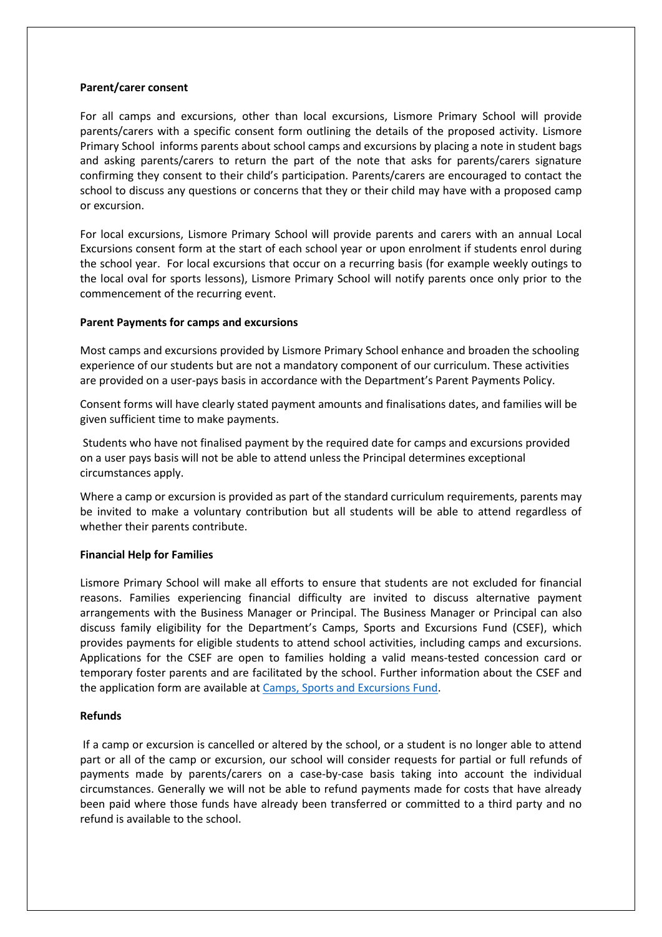#### **Parent/carer consent**

For all camps and excursions, other than local excursions, Lismore Primary School will provide parents/carers with a specific consent form outlining the details of the proposed activity. Lismore Primary School informs parents about school camps and excursions by placing a note in student bags and asking parents/carers to return the part of the note that asks for parents/carers signature confirming they consent to their child's participation. Parents/carers are encouraged to contact the school to discuss any questions or concerns that they or their child may have with a proposed camp or excursion.

For local excursions, Lismore Primary School will provide parents and carers with an annual Local Excursions consent form at the start of each school year or upon enrolment if students enrol during the school year. For local excursions that occur on a recurring basis (for example weekly outings to the local oval for sports lessons), Lismore Primary School will notify parents once only prior to the commencement of the recurring event.

## **Parent Payments for camps and excursions**

Most camps and excursions provided by Lismore Primary School enhance and broaden the schooling experience of our students but are not a mandatory component of our curriculum. These activities are provided on a user-pays basis in accordance with the Department's Parent Payments Policy.

Consent forms will have clearly stated payment amounts and finalisations dates, and families will be given sufficient time to make payments.

Students who have not finalised payment by the required date for camps and excursions provided on a user pays basis will not be able to attend unless the Principal determines exceptional circumstances apply.

Where a camp or excursion is provided as part of the standard curriculum requirements, parents may be invited to make a voluntary contribution but all students will be able to attend regardless of whether their parents contribute.

## **Financial Help for Families**

Lismore Primary School will make all efforts to ensure that students are not excluded for financial reasons. Families experiencing financial difficulty are invited to discuss alternative payment arrangements with the Business Manager or Principal. The Business Manager or Principal can also discuss family eligibility for the Department's Camps, Sports and Excursions Fund (CSEF), which provides payments for eligible students to attend school activities, including camps and excursions. Applications for the CSEF are open to families holding a valid means-tested concession card or temporary foster parents and are facilitated by the school. Further information about the CSEF and the application form are available a[t Camps, Sports and Excursions Fund.](https://www2.education.vic.gov.au/pal/camps-sports-and-excursions-fund/policy)

#### **Refunds**

If a camp or excursion is cancelled or altered by the school, or a student is no longer able to attend part or all of the camp or excursion, our school will consider requests for partial or full refunds of payments made by parents/carers on a case-by-case basis taking into account the individual circumstances. Generally we will not be able to refund payments made for costs that have already been paid where those funds have already been transferred or committed to a third party and no refund is available to the school.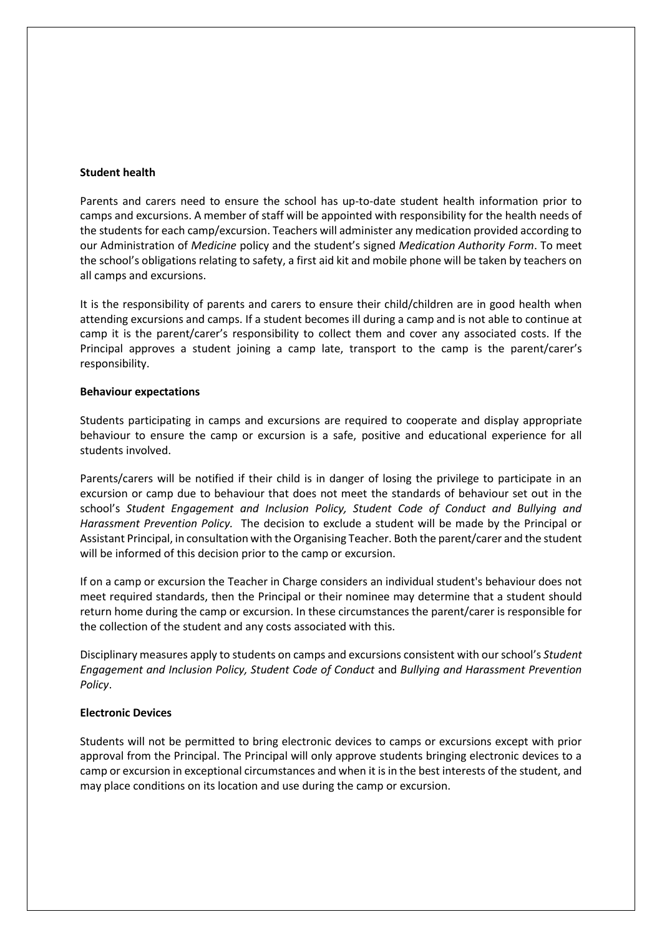#### **Student health**

Parents and carers need to ensure the school has up-to-date student health information prior to camps and excursions. A member of staff will be appointed with responsibility for the health needs of the students for each camp/excursion. Teachers will administer any medication provided according to our Administration of *Medicine* policy and the student's signed *Medication Authority Form*. To meet the school's obligations relating to safety, a first aid kit and mobile phone will be taken by teachers on all camps and excursions.

It is the responsibility of parents and carers to ensure their child/children are in good health when attending excursions and camps. If a student becomes ill during a camp and is not able to continue at camp it is the parent/carer's responsibility to collect them and cover any associated costs. If the Principal approves a student joining a camp late, transport to the camp is the parent/carer's responsibility.

#### **Behaviour expectations**

Students participating in camps and excursions are required to cooperate and display appropriate behaviour to ensure the camp or excursion is a safe, positive and educational experience for all students involved.

Parents/carers will be notified if their child is in danger of losing the privilege to participate in an excursion or camp due to behaviour that does not meet the standards of behaviour set out in the school's *Student Engagement and Inclusion Policy, Student Code of Conduct and Bullying and Harassment Prevention Policy.* The decision to exclude a student will be made by the Principal or Assistant Principal, in consultation with the Organising Teacher. Both the parent/carer and the student will be informed of this decision prior to the camp or excursion.

If on a camp or excursion the Teacher in Charge considers an individual student's behaviour does not meet required standards, then the Principal or their nominee may determine that a student should return home during the camp or excursion. In these circumstances the parent/carer is responsible for the collection of the student and any costs associated with this.

Disciplinary measures apply to students on camps and excursions consistent with our school's *Student Engagement and Inclusion Policy, Student Code of Conduct* and *Bullying and Harassment Prevention Policy*.

## **Electronic Devices**

Students will not be permitted to bring electronic devices to camps or excursions except with prior approval from the Principal. The Principal will only approve students bringing electronic devices to a camp or excursion in exceptional circumstances and when it is in the best interests of the student, and may place conditions on its location and use during the camp or excursion.